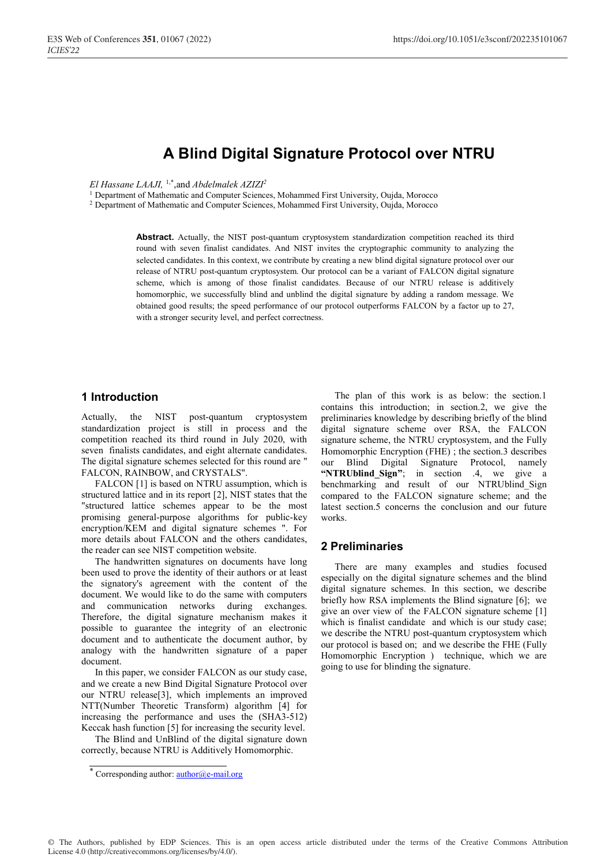# **A Blind Digital Signature Protocol over NTRU**

*El Hassane LAAJI,* 1,\*,and *Abdelmalek AZIZI2*

<sup>1</sup> Department of Mathematic and Computer Sciences, Mohammed First University, Oujda, Morocco

2 Department of Mathematic and Computer Sciences, Mohammed First University, Oujda, Morocco

**Abstract.** Actually, the NIST post-quantum cryptosystem standardization competition reached its third round with seven finalist candidates. And NIST invites the cryptographic community to analyzing the selected candidates. In this context, we contribute by creating a new blind digital signature protocol over our release of NTRU post-quantum cryptosystem. Our protocol can be a variant of FALCON digital signature scheme, which is among of those finalist candidates. Because of our NTRU release is additively homomorphic, we successfully blind and unblind the digital signature by adding a random message. We obtained good results; the speed performance of our protocol outperforms FALCON by a factor up to 27, with a stronger security level, and perfect correctness.

### **1 Introduction**

Actually, the NIST post-quantum cryptosystem standardization project is still in process and the competition reached its third round in July 2020, with seven finalists candidates, and eight alternate candidates. The digital signature schemes selected for this round are " FALCON, RAINBOW, and CRYSTALS".

FALCON [1] is based on NTRU assumption, which is structured lattice and in its report [2], NIST states that the "structured lattice schemes appear to be the most promising general-purpose algorithms for public-key encryption/KEM and digital signature schemes ". For more details about FALCON and the others candidates, the reader can see NIST competition website.

The handwritten signatures on documents have long been used to prove the identity of their authors or at least the signatory's agreement with the content of the document. We would like to do the same with computers and communication networks during exchanges. Therefore, the digital signature mechanism makes it possible to guarantee the integrity of an electronic document and to authenticate the document author, by analogy with the handwritten signature of a paper document.

In this paper, we consider FALCON as our study case, and we create a new Bind Digital Signature Protocol over our NTRU release[3], which implements an improved NTT(Number Theoretic Transform) algorithm [4] for increasing the performance and uses the (SHA3-512) Keccak hash function [5] for increasing the security level.

The Blind and UnBlind of the digital signature down correctly, because NTRU is Additively Homomorphic.

The plan of this work is as below: the section.1 contains this introduction; in section.2, we give the preliminaries knowledge by describing briefly of the blind digital signature scheme over RSA, the FALCON signature scheme, the NTRU cryptosystem, and the Fully Homomorphic Encryption (FHE) ; the section.3 describes our Blind Digital Signature Protocol, namely **"NTRUblind\_Sign"**; in section .4, we give a benchmarking and result of our NTRUblind\_Sign compared to the FALCON signature scheme; and the latest section.5 concerns the conclusion and our future works.

### **2 Preliminaries**

There are many examples and studies focused especially on the digital signature schemes and the blind digital signature schemes. In this section, we describe briefly how RSA implements the Blind signature [6]; we give an over view of the FALCON signature scheme [1] which is finalist candidate and which is our study case; we describe the NTRU post-quantum cryptosystem which our protocol is based on; and we describe the FHE (Fully Homomorphic Encryption ) technique, which we are going to use for blinding the signature.

<sup>\*</sup> Corresponding author: **author@e-mail.org**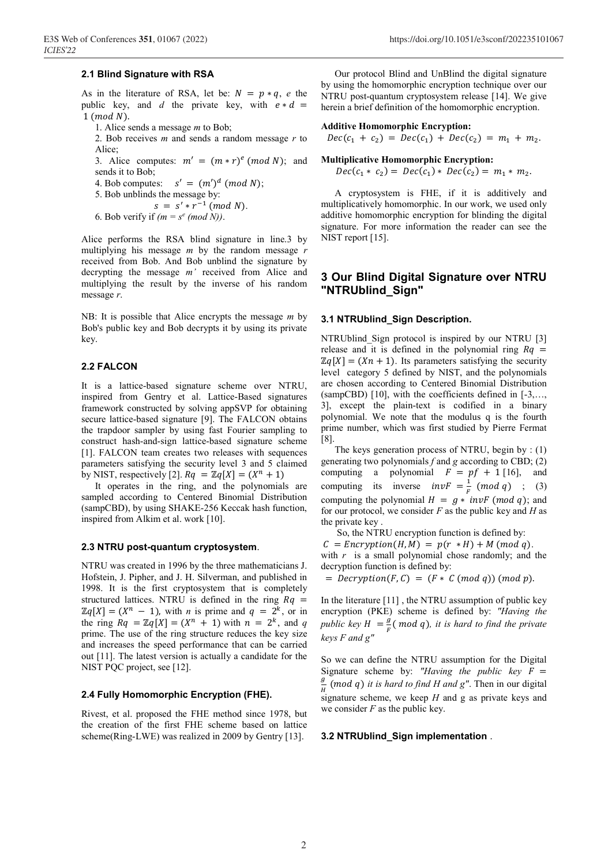#### **2.1 Blind Signature with RSA**

As in the literature of RSA, let be:  $N = p * q$ , *e* the public key, and *d* the private key, with  $e * d =$  $1 \pmod{N}$ .

- 1. Alice sends a message *m* to Bob;
- 2. Bob receives *m* and sends a random message *r* to Alice;
- 3. Alice computes:  $m' = (m * r)^e \pmod{N}$ ; and sends it to Bob;
- 4. Bob computes:  $s' = (m')^d \pmod{N}$ ;
- 5. Bob unblinds the message by:
	- $s = s' * r^{-1} \pmod{N}$ .
- 6. Bob verify if  $(m = s^e \pmod{N})$ .

Alice performs the RSA blind signature in line.3 by multiplying his message *m* by the random message *r* received from Bob. And Bob unblind the signature by decrypting the message *m'* received from Alice and multiplying the result by the inverse of his random message *r*.

NB: It is possible that Alice encrypts the message *m* by Bob's public key and Bob decrypts it by using its private key.

### **2.2 FALCON**

It is a lattice-based signature scheme over NTRU, inspired from Gentry et al. Lattice-Based signatures framework constructed by solving appSVP for obtaining secure lattice-based signature [9]. The FALCON obtains the trapdoor sampler by using fast Fourier sampling to construct hash-and-sign lattice-based signature scheme [1]. FALCON team creates two releases with sequences parameters satisfying the security level 3 and 5 claimed by NIST, respectively [2].  $Rq = \mathbb{Z}q[X] = (X^n + 1)$ 

It operates in the ring, and the polynomials are sampled according to Centered Binomial Distribution (sampCBD), by using SHAKE-256 Keccak hash function, inspired from Alkim et al. work [10].

### **2.3 NTRU post-quantum cryptosystem**.

NTRU was created in 1996 by the three mathematicians J. Hofstein, J. Pipher, and J. H. Silverman, and published in 1998. It is the first cryptosystem that is completely structured lattices. NTRU is defined in the ring  $Rq =$  $\mathbb{Z}q[X]=(X^n - 1)$ , with *n* is prime and  $q = 2^k$ , or in the ring  $Rq = \mathbb{Z}q[X] = (X^n + 1)$  with  $n = 2^k$ , and q prime. The use of the ring structure reduces the key size and increases the speed performance that can be carried out [11]. The latest version is actually a candidate for the NIST PQC project, see [12].

#### **2.4 Fully Homomorphic Encryption (FHE).**

Rivest, et al. proposed the FHE method since 1978, but the creation of the first FHE scheme based on lattice scheme(Ring-LWE) was realized in 2009 by Gentry [13].

Our protocol Blind and UnBlind the digital signature by using the homomorphic encryption technique over our NTRU post-quantum cryptosystem release [14]. We give herein a brief definition of the homomorphic encryption.

#### **Additive Homomorphic Encryption:**

 $Dec(c_1 + c_2) = Dec(c_1) + Dec(c_2) = m_1 + m_2.$ 

### **Multiplicative Homomorphic Encryption:**

 $Dec(c_1 * c_2) = Dec(c_1) * Dec(c_2) = m_1 * m_2.$ 

A cryptosystem is FHE, if it is additively and multiplicatively homomorphic. In our work, we used only additive homomorphic encryption for blinding the digital signature. For more information the reader can see the NIST report [15].

### **3 Our Blind Digital Signature over NTRU "NTRUblind\_Sign"**

#### **3.1 NTRUblind\_Sign Description.**

NTRUblind Sign protocol is inspired by our NTRU [3] release and it is defined in the polynomial ring  $Rq =$  $\mathbb{Z}q[X] = (Xn + 1)$ . Its parameters satisfying the security level category 5 defined by NIST, and the polynomials are chosen according to Centered Binomial Distribution (sampCBD) [10], with the coefficients defined in [-3,…, 3], except the plain-text is codified in a binary polynomial. We note that the modulus q is the fourth prime number, which was first studied by Pierre Fermat [8].

The keys generation process of NTRU, begin by : (1) generating two polynomials *f* and *g* according to CBD; (2) computing a polynomial  $F = pf + 1$  [16], and computing its inverse  $invF = \frac{1}{F} (mod q)$  ; (3) computing the polynomial  $H = g * invF \pmod{q}$ ; and for our protocol, we consider *F* as the public key and *H* as the private key .

 So, the NTRU encryption function is defined by:  $C = Encryption(H, M) = p(r * H) + M (mod q).$ with *r* is a small polynomial chose randomly; and the

decryption function is defined by: =  $Decryption(F, C) = (F * C (mod q)) (mod p).$ 

In the literature [11] , the NTRU assumption of public key encryption (PKE) scheme is defined by: *"Having the public key*  $H = \frac{g}{F}$  *(mod q), it is hard to find the private keys F and g"*

So we can define the NTRU assumption for the Digital Signature scheme by: *"Having the public key*  $F =$  $\frac{g}{f}$  (mod q) it is hard to find H and g". Then in our digital signature scheme, we keep *H* and g as private keys and we consider *F* as the public key.

### **3.2 NTRUblind\_Sign implementation** .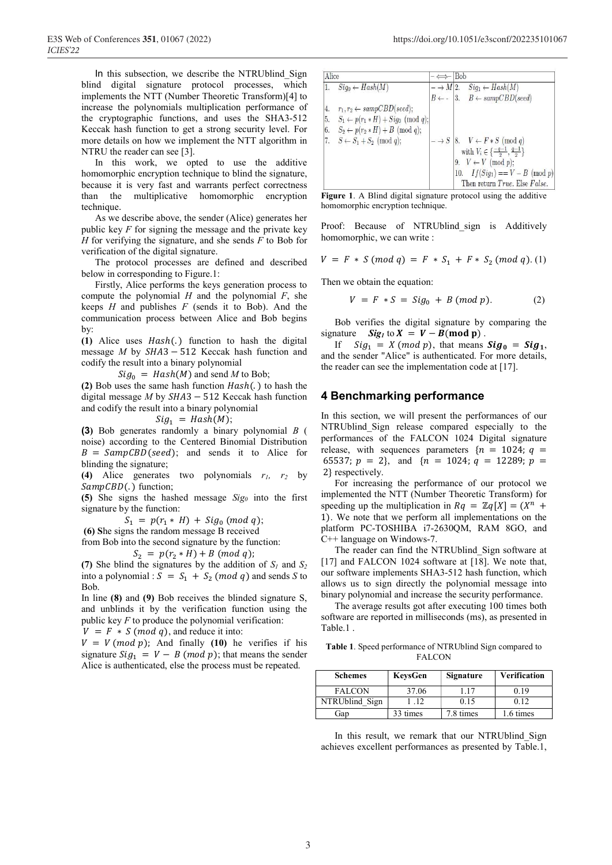In this subsection, we describe the NTRUblind Sign blind digital signature protocol processes, which implements the NTT (Number Theoretic Transform)[4] to increase the polynomials multiplication performance of the cryptographic functions, and uses the SHA3-512 Keccak hash function to get a strong security level. For more details on how we implement the NTT algorithm in NTRU the reader can see [3].

In this work, we opted to use the additive homomorphic encryption technique to blind the signature, because it is very fast and warrants perfect correctness than the multiplicative homomorphic encryption technique.

As we describe above, the sender (Alice) generates her public key  $F$  for signing the message and the private key *H* for verifying the signature, and she sends *F* to Bob for verification of the digital signature.

The protocol processes are defined and described below in corresponding to Figure.1:

Firstly, Alice performs the keys generation process to compute the polynomial *H* and the polynomial *F*, she keeps *H* and publishes *F* (sends it to Bob). And the communication process between Alice and Bob begins by:

(1) Alice uses Hash(.) function to hash the digital message *M* by  $SHA3 - 512$  Keccak hash function and codify the result into a binary polynomial

 $Sig_0 = Hash(M)$  and send *M* to Bob;

**(2)** Bob uses the same hash function  $Hash(.)$  to hash the digital message  $M$  by  $SHA3 - 512$  Keccak hash function and codify the result into a binary polynomial

 $Sig_1 = Hash(M);$ 

**(3)** Bob generates randomly a binary polynomial *B* ( noise) according to the Centered Binomial Distribution  $B = \text{SampCBD}(\text{seed})$ ; and sends it to Alice for blinding the signature;

**(4)** Alice generates two polynomials *r1, r2* by  $SampCBD(.)$  function;

**(5)** She signs the hashed message *Sig0* into the first signature by the function:

 $S_1 = p(r_1 * H) + Sig_0 \ (mod \ q);$ 

 **(6) S**he signs the random message B received

from Bob into the second signature by the function:  $S_2 = p(r_2 * H) + B \pmod{q};$ 

(7) She blind the signatures by the addition of  $S_1$  and  $S_2$ into a polynomial :  $S = S_1 + S_2 \pmod{q}$  and sends *S* to Bob.

In line **(8)** and **(9)** Bob receives the blinded signature S, and unblinds it by the verification function using the public key *F* to produce the polynomial verification:

 $V = F * S \ (mod \ q)$ , and reduce it into:

 $V = V (mod p)$ ; And finally (10) he verifies if his signature  $Sig_1 = V - B \pmod{p}$ ; that means the sender Alice is authenticated, else the process must be repeated.

| Alice                                         |                                               |                      | Bob                                                                                   |  |
|-----------------------------------------------|-----------------------------------------------|----------------------|---------------------------------------------------------------------------------------|--|
|                                               | $Sig_0 \leftarrow Hash(M)$                    | $- \rightarrow M 2.$ | $Sig_1 \leftarrow Hash(M)$                                                            |  |
|                                               |                                               |                      | 3. $B \leftarrow sampCBD (seed)$                                                      |  |
| 4.                                            | $r_1, r_2 \leftarrow sampCBD (seed);$         |                      |                                                                                       |  |
| $\begin{array}{c} 5. \\ 6. \\ 7. \end{array}$ | $S_1 \leftarrow p(r_1 * H) + Sig_0 \pmod{q};$ |                      |                                                                                       |  |
|                                               | $S_2 \leftarrow p(r_2 * H) + B \pmod{q};$     |                      |                                                                                       |  |
|                                               | $S \leftarrow S_1 + S_2 \pmod{q};$            | $- \rightarrow S$    | 8. $V \leftarrow F * S \pmod{q}$<br>with $V_i \in \{\frac{-q-1}{2}, \frac{q-1}{2}\}\$ |  |
|                                               |                                               |                      |                                                                                       |  |
|                                               |                                               |                      | 9. $V \leftarrow V \pmod{p}$ ;                                                        |  |
|                                               |                                               |                      | 10. $If(Sig_1) == V - B \pmod{p}$                                                     |  |
|                                               |                                               |                      | Then return True. Else False.                                                         |  |

**Figure 1**. A Blind digital signature protocol using the additive homomorphic encryption technique.

Proof: Because of NTRUblind sign is Additively homomorphic, we can write :

$$
V = F * S (mod q) = F * S_1 + F * S_2 (mod q). (1)
$$

Then we obtain the equation:

$$
V = F * S = Sig_0 + B \ (mod \ p). \tag{2}
$$

Bob verifies the digital signature by comparing the signature *Sig<sub>1</sub>* to  $X = V - B \pmod{p}$ .

If  $Sig_1 = X \pmod{p}$ , that means  $Sig_0 = Sig_1$ , and the sender "Alice" is authenticated. For more details, the reader can see the implementation code at [17].

### **4 Benchmarking performance**

In this section, we will present the performances of our NTRUblind Sign release compared especially to the performances of the FALCON 1024 Digital signature release, with sequences parameters  $\{n = 1024; q =$ 65537;  $p = 2$ , and  $\{n = 1024; q = 12289; p =$ 2} respectively.

For increasing the performance of our protocol we implemented the NTT (Number Theoretic Transform) for speeding up the multiplication in  $Rq = \mathbb{Z}q[X] = (X^n +$ 1). We note that we perform all implementations on the platform PC-TOSHIBA i7-2630QM, RAM 8GO, and C++ language on Windows-7.

The reader can find the NTRUblind\_Sign software at [17] and FALCON 1024 software at [18]. We note that, our software implements SHA3-512 hash function, which allows us to sign directly the polynomial message into binary polynomial and increase the security performance.

The average results got after executing 100 times both software are reported in milliseconds (ms), as presented in Table.1 .

**Table 1**. Speed performance of NTRUblind Sign compared to FALCON

| <b>Schemes</b> | KeysGen  | <b>Signature</b> | <b>Verification</b> |
|----------------|----------|------------------|---------------------|
| <b>FALCON</b>  | 37.06    | .17              | 0.19                |
| NTRUblind Sign | 1.12     | 0.15             | 0.12                |
| Gap            | 33 times | 7.8 times        | .6 times            |

In this result, we remark that our NTRUblind Sign achieves excellent performances as presented by Table.1,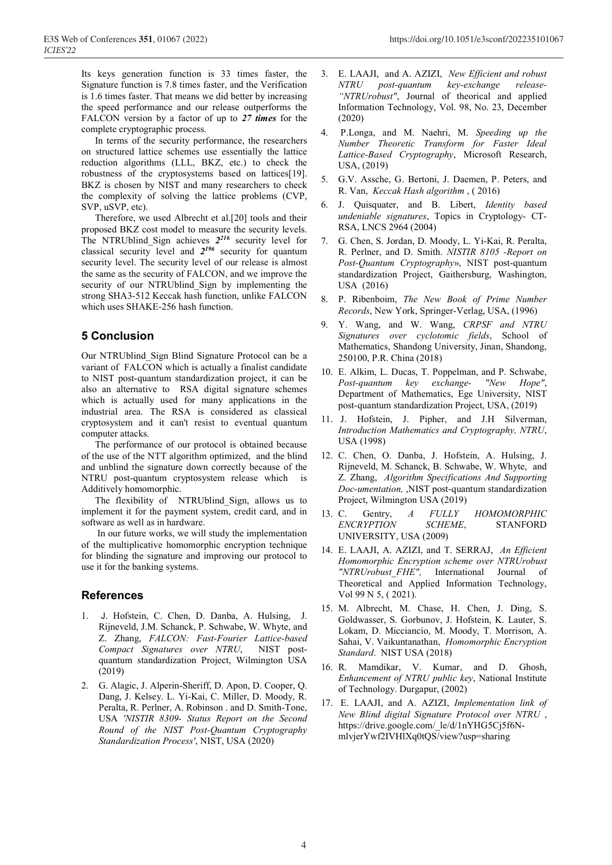Its keys generation function is 33 times faster, the Signature function is 7.8 times faster, and the Verification is 1.6 times faster. That means we did better by increasing the speed performance and our release outperforms the FALCON version by a factor of up to *27 times* for the complete cryptographic process.

In terms of the security performance, the researchers on structured lattice schemes use essentially the lattice reduction algorithms (LLL, BKZ, etc.) to check the robustness of the cryptosystems based on lattices[19]. BKZ is chosen by NIST and many researchers to check the complexity of solving the lattice problems (CVP, SVP, uSVP, etc).

Therefore, we used Albrecht et al.[20] tools and their proposed BKZ cost model to measure the security levels. The NTRUblind\_Sign achieves *2216* security level for classical security level and *2196* security for quantum security level. The security level of our release is almost the same as the security of FALCON, and we improve the security of our NTRUblind Sign by implementing the strong SHA3-512 Keccak hash function, unlike FALCON which uses SHAKE-256 hash function.

## **5 Conclusion**

Our NTRUblind\_Sign Blind Signature Protocol can be a variant of FALCON which is actually a finalist candidate to NIST post-quantum standardization project, it can be also an alternative to RSA digital signature schemes which is actually used for many applications in the industrial area. The RSA is considered as classical cryptosystem and it can't resist to eventual quantum computer attacks.

The performance of our protocol is obtained because of the use of the NTT algorithm optimized, and the blind and unblind the signature down correctly because of the NTRU post-quantum cryptosystem release which Additively homomorphic.

The flexibility of NTRUblind Sign, allows us to implement it for the payment system, credit card, and in software as well as in hardware.

 In our future works, we will study the implementation of the multiplicative homomorphic encryption technique for blinding the signature and improving our protocol to use it for the banking systems.

### **References**

- 1. J. Hofstein, C. Chen, D. Danba, A. Hulsing, J. Rijneveld, J.M. Schanck, P. Schwabe, W. Whyte, and Z. Zhang, *FALCON: Fast-Fourier Lattice-based Compact Signatures over NTRU*, NIST postquantum standardization Project, Wilmington USA (2019)
- 2. G. Alagic, J. Alperin-Sheriff, D. Apon, D. Cooper, Q. Dang, J. Kelsey. L. Yi-Kai, C. Miller, D. Moody, R. Peralta, R. Perlner, A. Robinson . and D. Smith-Tone, USA *'NISTIR 8309- Status Report on the Second Round of the NIST Post-Quantum Cryptography Standardization Process'*, NIST, USA (2020)
- 3. E. LAAJI, and A. AZIZI, *New Efficient and robust NTRU post-quantum key-exchange release- "NTRUrobust"*, Journal of theorical and applied Information Technology, Vol. 98, No. 23, December (2020)
- 4. P.Longa, and M. Naehri, M. *Speeding up the Number Theoretic Transform for Faster Ideal Lattice-Based Cryptography*, Microsoft Research, USA, (2019)
- 5. G.V. Assche, G. Bertoni, J. Daemen, P. Peters, and R. Van, *Keccak Hash algorithm* , ( 2016)
- 6. J. Quisquater, and B. Libert, *Identity based undeniable signatures*, Topics in Cryptology- CT-RSA, LNCS 2964 (2004)
- 7. G. Chen, S. Jordan, D. Moody, L. Yi-Kai, R. Peralta, R. Perlner, and D. Smith. *NISTIR 8105 -Report on Post-Quantum Cryptography*», NIST post-quantum standardization Project, Gaithersburg, Washington, USA (2016)
- 8. P. Ribenboim, *The New Book of Prime Number Records*, New York, Springer-Verlag, USA, (1996)
- 9. Y. Wang, and W. Wang, *CRPSF and NTRU Signatures over cyclotomic fields*, School of Mathematics, Shandong University, Jinan, Shandong, 250100, P.R. China (2018)
- 10. E. Alkim, L. Ducas, T. Poppelman, and P. Schwabe, *Post-quantum key exchange- "New Hope"*, Department of Mathematics, Ege University, NIST post-quantum standardization Project, USA, (2019)
- 11. J. Hofstein, J. Pipher, and J.H Silverman, *Introduction Mathematics and Cryptography, NTRU*, USA (1998)
- 12. C. Chen, O. Danba, J. Hofstein, A. Hulsing, J. Rijneveld, M. Schanck, B. Schwabe, W. Whyte, and Z. Zhang, *Algorithm Specifications And Supporting Doc-umentation,* ,NIST post-quantum standardization Project, Wilmington USA (2019)
- 13. C. Gentry, *A FULLY HOMOMORPHIC ENCRYPTION SCHEME*, STANFORD UNIVERSITY, USA (2009)
- 14. E. LAAJI, A. AZIZI, and T. SERRAJ, *An Efficient Homomorphic Encryption scheme over NTRUrobust "NTRUrobust\_FHE",* International Journal of Theoretical and Applied Information Technology, Vol 99 N 5, ( 2021).
- 15. M. Albrecht, M. Chase, H. Chen, J. Ding, S. Goldwasser, S. Gorbunov, J. Hofstein, K. Lauter, S. Lokam, D. Micciancio, M. Moody, T. Morrison, A. Sahai, V. Vaikuntanathan, *Homomorphic Encryption Standard*. NIST USA (2018)
- 16. R. Mamdikar, V. Kumar, and D. Ghosh, *Enhancement of NTRU public key*, National Institute of Technology. Durgapur, (2002)
- 17. E. LAAJI, and A. AZIZI, *Implementation link of New Blind digital Signature Protocol over NTRU* , https://drive.google.com/\_le/d/1nYHG5Cj5f6NmlvjerYwf2IVHlXq0tQS/view?usp=sharing